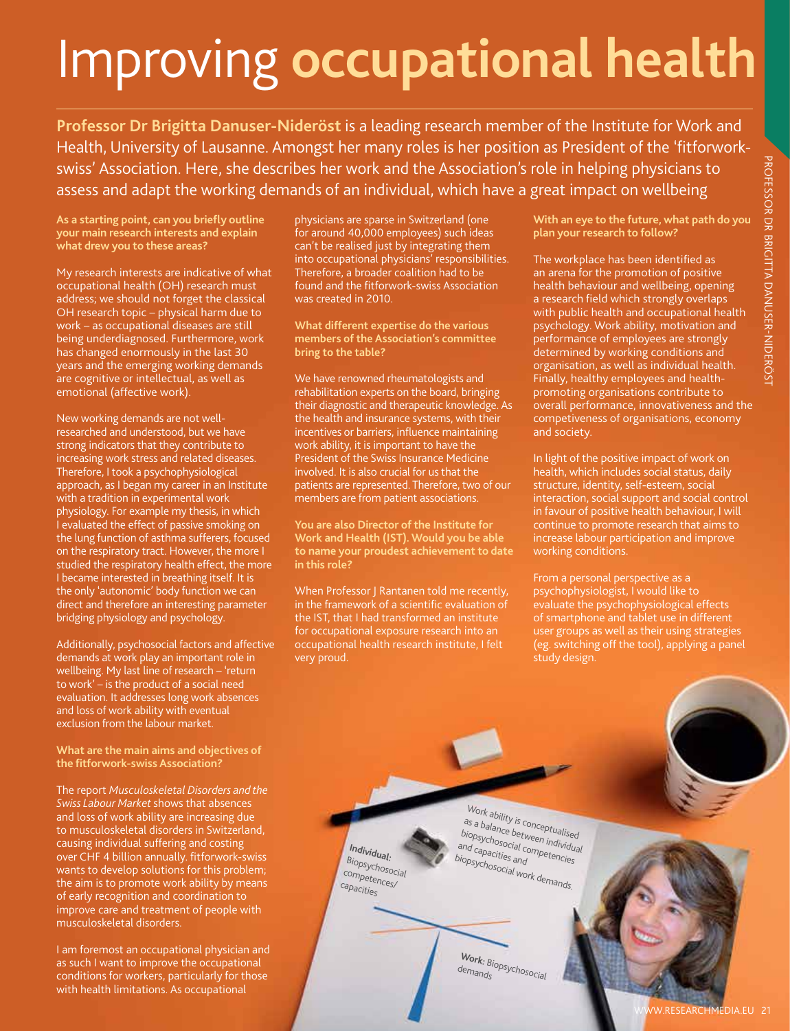# Improving **occupational health**

**Professor Dr Brigitta Danuser-Nideröst** is a leading research member of the Institute for Work and Health, University of Lausanne. Amongst her many roles is her position as President of the 'fitforworkswiss' Association. Here, she describes her work and the Association's role in helping physicians to assess and adapt the working demands of an individual, which have a great impact on wellbeing

**As a starting point, can you briefly outline your main research interests and explain what drew you to these areas?**

My research interests are indicative of what occupational health (OH) research must address; we should not forget the classical OH research topic – physical harm due to work – as occupational diseases are still being underdiagnosed. Furthermore, work has changed enormously in the last 30 years and the emerging working demands are cognitive or intellectual, as well as emotional (affective work).

New working demands are not wellresearched and understood, but we have strong indicators that they contribute to increasing work stress and related diseases. Therefore, I took a psychophysiological approach, as I began my career in an Institute with a tradition in experimental work physiology. For example my thesis, in which I evaluated the effect of passive smoking on the lung function of asthma sufferers, focused on the respiratory tract. However, the more I studied the respiratory health effect, the more I became interested in breathing itself. It is the only 'autonomic' body function we can direct and therefore an interesting parameter bridging physiology and psychology. www.researchmedia.eu 21professor dr britaine de la constantidate international de la constantidate de la constantidate de la constantidate de la constantidate de la constantidate de la constantidate de la constantidate de

Additionally, psychosocial factors and affective demands at work play an important role in wellbeing. My last line of research – 'return to work' – is the product of a social need evaluation. It addresses long work absences and loss of work ability with eventual exclusion from the labour market.

**What are the main aims and objectives of the fitforwork-swiss Association?**

The report *Musculoskeletal Disorders and the Swiss Labour Market* shows that absences and loss of work ability are increasing due to musculoskeletal disorders in Switzerland, causing individual suffering and costing over CHF 4 billion annually. fitforwork-swiss wants to develop solutions for this problem; the aim is to promote work ability by means of early recognition and coordination to improve care and treatment of people with musculoskeletal disorders.

I am foremost an occupational physician and as such I want to improve the occupational conditions for workers, particularly for those with health limitations. As occupational

physicians are sparse in Switzerland (one for around 40,000 employees) such ideas can't be realised just by integrating them into occupational physicians' responsibilities. Therefore, a broader coalition had to be found and the fitforwork-swiss Association was created in 2010.

**What different expertise do the various members of the Association's committee bring to the table?**

We have renowned rheumatologists and rehabilitation experts on the board, bringing their diagnostic and therapeutic knowledge. As the health and insurance systems, with their incentives or barriers, influence maintaining work ability, it is important to have the President of the Swiss Insurance Medicine involved. It is also crucial for us that the patients are represented. Therefore, two of our members are from patient associations.

**You are also Director of the Institute for Work and Health (IST). Would you be able to name your proudest achievement to date in this role?**

When Professor J Rantanen told me recently, in the framework of a scientific evaluation of the IST, that I had transformed an institute for occupational exposure research into an occupational health research institute, I felt very proud.

> **Individual:** Biopsychosocial competences/ capacities

**With an eye to the future, what path do you plan your research to follow?**

The workplace has been identified as an arena for the promotion of positive health behaviour and wellbeing, opening a research field which strongly overlaps with public health and occupational health psychology. Work ability, motivation and performance of employees are strongly determined by working conditions and organisation, as well as individual health. Finally, healthy employees and healthpromoting organisations contribute to overall performance, innovativeness and the competiveness of organisations, economy and society.

In light of the positive impact of work on health, which includes social status, daily structure, identity, self-esteem, social interaction, social support and social control in favour of positive health behaviour, I will continue to promote research that aims to increase labour participation and improve working conditions.

From a personal perspective as a psychophysiologist, I would like to evaluate the psychophysiological effects of smartphone and tablet use in different user groups as well as their using strategies (eg. switching off the tool), applying a panel study design.

Work ability is conceptualised<br>as a balance between individua<br>biopsychosocial competencies as a balance between individual biopsychosocial competencies<br>and capacities and competencies<br>biopsyche biopsychosocial work demands.

> **Work:** Biopsychosocial demands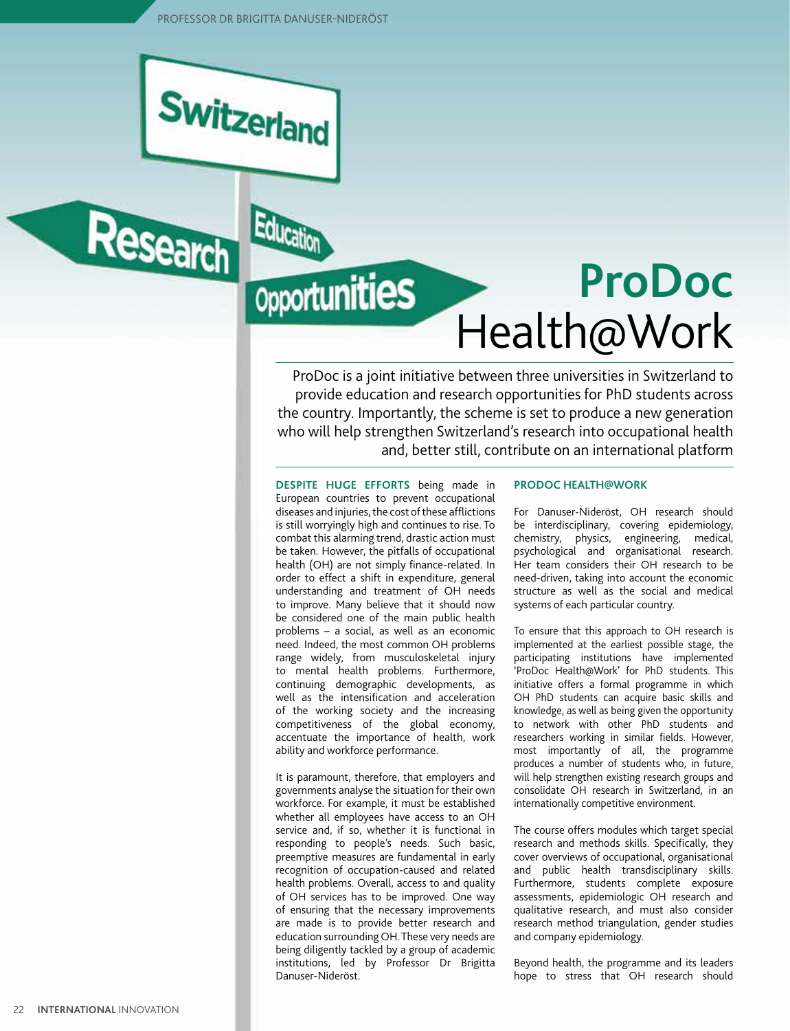Education

**Opportunities** 



Research



ProDoc is a joint initiative between three universities in Switzerland to provide education and research opportunities for PhD students across the country. Importantly, the scheme is set to produce a new generation who will help strengthen Switzerland's research into occupational health and, better still, contribute on an international platform

**Despite huge efforts** being made in European countries to prevent occupational diseases and injuries, the cost of these afflictions is still worryingly high and continues to rise. To combat this alarming trend, drastic action must be taken. However, the pitfalls of occupational health (OH) are not simply finance-related. In order to effect a shift in expenditure, general understanding and treatment of OH needs to improve. Many believe that it should now be considered one of the main public health problems – a social, as well as an economic need. Indeed, the most common OH problems range widely, from musculoskeletal injury to mental health problems. Furthermore, continuing demographic developments, as well as the intensification and acceleration of the working society and the increasing competitiveness of the global economy, accentuate the importance of health, work ability and workforce performance.

It is paramount, therefore, that employers and governments analyse the situation for their own workforce. For example, it must be established whether all employees have access to an OH service and, if so, whether it is functional in responding to people's needs. Such basic, preemptive measures are fundamental in early recognition of occupation-caused and related health problems. Overall, access to and quality of OH services has to be improved. One way of ensuring that the necessary improvements are made is to provide better research and education surrounding OH. These very needs are being diligently tackled by a group of academic institutions, led by Professor Dr Brigitta Danuser-Nideröst.

## **ProDoc health@work**

For Danuser-Nideröst, OH research should be interdisciplinary, covering epidemiology, chemistry, physics, engineering, medical, psychological and organisational research. Her team considers their OH research to be need-driven, taking into account the economic structure as well as the social and medical systems of each particular country.

To ensure that this approach to OH research is implemented at the earliest possible stage, the participating institutions have implemented 'ProDoc Health@Work' for PhD students. This initiative offers a formal programme in which OH PhD students can acquire basic skills and knowledge, as well as being given the opportunity to network with other PhD students and researchers working in similar fields. However, most importantly of all, the programme produces a number of students who, in future, will help strengthen existing research groups and consolidate OH research in Switzerland, in an internationally competitive environment.

The course offers modules which target special research and methods skills. Specifically, they cover overviews of occupational, organisational and public health transdisciplinary skills. Furthermore, students complete exposure assessments, epidemiologic OH research and qualitative research, and must also consider research method triangulation, gender studies and company epidemiology.

Beyond health, the programme and its leaders hope to stress that OH research should